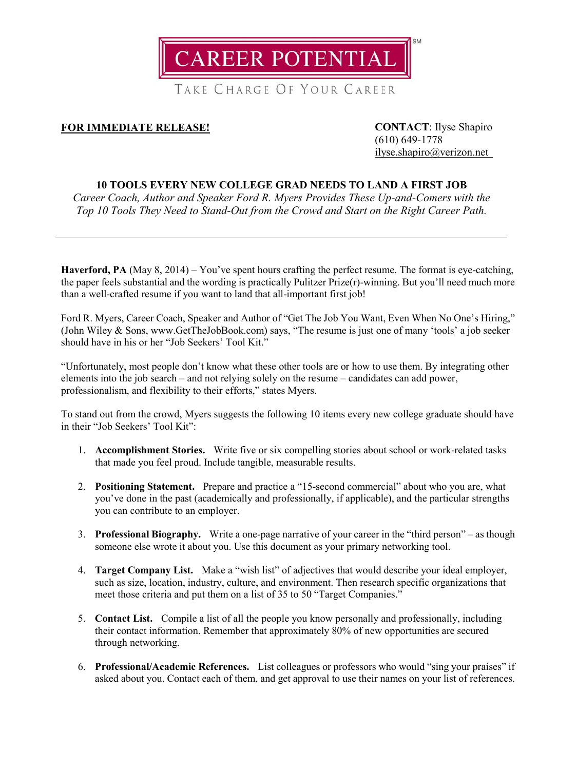

TAKE CHARGE OF YOUR CAREER

## **FOR IMMEDIATE RELEASE! CONTACT**: Ilyse Shapiro

(610) 649-1778 [ilyse.shapiro@verizon.net](mailto:ilyse.shapiro@verizon.net)

## **10 TOOLS EVERY NEW COLLEGE GRAD NEEDS TO LAND A FIRST JOB**

*Career Coach, Author and Speaker Ford R. Myers Provides These Up-and-Comers with the Top 10 Tools They Need to Stand-Out from the Crowd and Start on the Right Career Path.*

**Haverford, PA** (May 8, 2014) – You've spent hours crafting the perfect resume. The format is eve-catching, the paper feels substantial and the wording is practically Pulitzer Prize(r)-winning. But you'll need much more than a well-crafted resume if you want to land that all-important first job!

Ford R. Myers, Career Coach, Speaker and Author of "Get The Job You Want, Even When No One's Hiring," (John Wiley & Sons, www.GetTheJobBook.com) says, "The resume is just one of many 'tools' a job seeker should have in his or her "Job Seekers' Tool Kit."

"Unfortunately, most people don't know what these other tools are or how to use them. By integrating other elements into the job search – and not relying solely on the resume – candidates can add power, professionalism, and flexibility to their efforts," states Myers.

To stand out from the crowd, Myers suggests the following 10 items every new college graduate should have in their "Job Seekers' Tool Kit":

- 1. **Accomplishment Stories.** Write five or six compelling stories about school or work-related tasks that made you feel proud. Include tangible, measurable results.
- 2. **Positioning Statement.** Prepare and practice a "15-second commercial" about who you are, what you've done in the past (academically and professionally, if applicable), and the particular strengths you can contribute to an employer.
- 3. **Professional Biography.** Write a one-page narrative of your career in the "third person" as though someone else wrote it about you. Use this document as your primary networking tool.
- 4. **Target Company List.** Make a "wish list" of adjectives that would describe your ideal employer, such as size, location, industry, culture, and environment. Then research specific organizations that meet those criteria and put them on a list of 35 to 50 "Target Companies."
- 5. **Contact List.** Compile a list of all the people you know personally and professionally, including their contact information. Remember that approximately 80% of new opportunities are secured through networking.
- 6. **Professional/Academic References.** List colleagues or professors who would "sing your praises" if asked about you. Contact each of them, and get approval to use their names on your list of references.